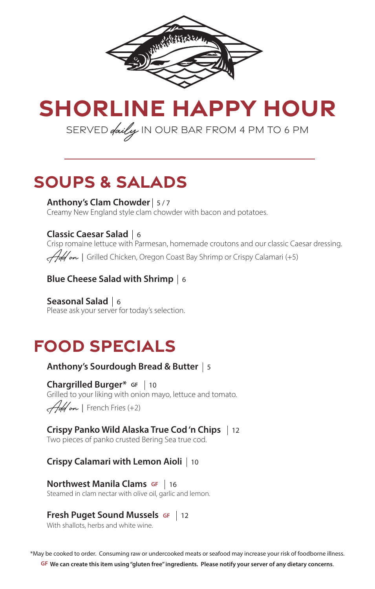

# **SHORLINE HAPPY HOUR** SERVED *daily* IN OUR BAR FROM 4 PM TO 6 PM

## **soups & salads**

**Anthony's Clam Chowder**  5 / 7 Creamy New England style clam chowder with bacon and potatoes.

### **Classic Caesar Salad**  6

Crisp romaine lettuce with Parmesan, homemade croutons and our classic Caesar dressing. Add on *|* Grilled Chicken, Oregon Coast Bay Shrimp or Crispy Calamari (+5)

### **Blue Cheese Salad with Shrimp**  6

**Seasonal Salad**  6 Please ask your server for today's selection.

# **food specials**

## **Anthony's Sourdough Bread & Butter**  5

**Chargrilled Burger\* GF** 10  Grilled to your liking with onion mayo, lettuce and tomato. Add on *|* French Fries (+2)

**Crispy Panko Wild Alaska True Cod 'n Chips**  12 Two pieces of panko crusted Bering Sea true cod.

**Crispy Calamari with Lemon Aioli**  10

**Northwest Manila Clams GF** | 16 **TO LITVEST MATTIME CRAITS SET 10**<br>Steamed in clam nectar with olive oil, garlic and lemon.

#### **Fresh Puget Sound Mussels GF**  $\vert$  12

With shallots, herbs and white wine.

\*May be cooked to order. Consuming raw or undercooked meats or seafood may increase your risk of foodborne illness. **GF We can create this item using "gluten free" ingredients. Please notify your server of any dietary concerns**.